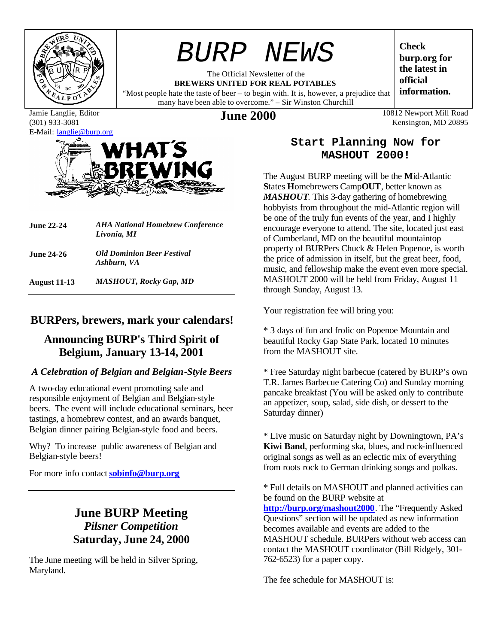

# *BURP NEWS*

The Official Newsletter of the **BREWERS UNITED FOR REAL POTABLES**

"Most people hate the taste of beer – to begin with. It is, however, a prejudice that many have been able to overcome." – Sir Winston Churchill

**Check burp.org for the latest in official information.**

Jamie Langlie, Editor (301) 933-3081 E-Mail: langlie@burp.org



| <b>June 22-24</b>   | <b>AHA National Homebrew Conference</b><br>Livonia, MI |  |  |
|---------------------|--------------------------------------------------------|--|--|
| <b>June 24-26</b>   | <b>Old Dominion Beer Festival</b><br>Ashburn, VA       |  |  |
| <b>August 11-13</b> | <b>MASHOUT, Rocky Gap, MD</b>                          |  |  |

## **BURPers, brewers, mark your calendars!**

## **Announcing BURP's Third Spirit of Belgium, January 13-14, 2001**

### *A Celebration of Belgian and Belgian-Style Beers*

A two-day educational event promoting safe and responsible enjoyment of Belgian and Belgian-style beers. The event will include educational seminars, beer tastings, a homebrew contest, and an awards banquet, Belgian dinner pairing Belgian-style food and beers.

Why? To increase public awareness of Belgian and Belgian-style beers!

For more info contact **sobinfo@burp.org**

## **June BURP Meeting** *Pilsner Competition* **Saturday, June 24, 2000**

The June meeting will be held in Silver Spring, Maryland.

**June 2000** 10812 Newport Mill Road Kensington, MD 20895

### **Start Planning Now for MASHOUT 2000!**

The August BURP meeting will be the **M**id-**A**tlantic **S**tates **H**omebrewers Camp**OUT**, better known as *MASHOUT*. This 3-day gathering of homebrewing hobbyists from throughout the mid-Atlantic region will be one of the truly fun events of the year, and I highly encourage everyone to attend. The site, located just east of Cumberland, MD on the beautiful mountaintop property of BURPers Chuck & Helen Popenoe, is worth the price of admission in itself, but the great beer, food, music, and fellowship make the event even more special. MASHOUT 2000 will be held from Friday, August 11 through Sunday, August 13.

Your registration fee will bring you:

\* 3 days of fun and frolic on Popenoe Mountain and beautiful Rocky Gap State Park, located 10 minutes from the MASHOUT site.

\* Free Saturday night barbecue (catered by BURP's own T.R. James Barbecue Catering Co) and Sunday morning pancake breakfast (You will be asked only to contribute an appetizer, soup, salad, side dish, or dessert to the Saturday dinner)

\* Live music on Saturday night by Downingtown, PA's **Kiwi Band**, performing ska, blues, and rock-influenced original songs as well as an eclectic mix of everything from roots rock to German drinking songs and polkas.

\* Full details on MASHOUT and planned activities can be found on the BURP website at **http://burp.org/mashout2000**. The "Frequently Asked Questions" section will be updated as new information becomes available and events are added to the MASHOUT schedule. BURPers without web access can contact the MASHOUT coordinator (Bill Ridgely, 301- 762-6523) for a paper copy.

The fee schedule for MASHOUT is: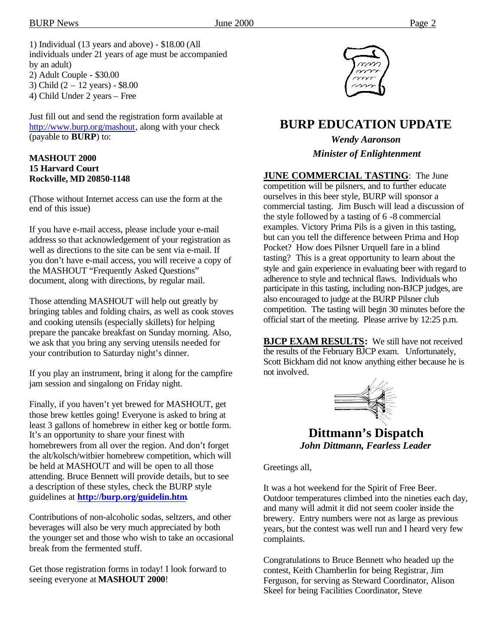1) Individual (13 years and above) - \$18.00 (All individuals under 21 years of age must be accompanied by an adult) 2) Adult Couple - \$30.00 3) Child (2 – 12 years) - \$8.00 4) Child Under 2 years – Free

Just fill out and send the registration form available at http://www.burp.org/mashout, along with your check (payable to **BURP**) to:

#### **MASHOUT 2000 15 Harvard Court Rockville, MD 20850-1148**

(Those without Internet access can use the form at the end of this issue)

If you have e-mail access, please include your e-mail address so that acknowledgement of your registration as well as directions to the site can be sent via e-mail. If you don't have e-mail access, you will receive a copy of the MASHOUT "Frequently Asked Questions" document, along with directions, by regular mail.

Those attending MASHOUT will help out greatly by bringing tables and folding chairs, as well as cook stoves and cooking utensils (especially skillets) for helping prepare the pancake breakfast on Sunday morning. Also, we ask that you bring any serving utensils needed for your contribution to Saturday night's dinner.

If you play an instrument, bring it along for the campfire jam session and singalong on Friday night.

Finally, if you haven't yet brewed for MASHOUT, get those brew kettles going! Everyone is asked to bring at least 3 gallons of homebrew in either keg or bottle form. It's an opportunity to share your finest with homebrewers from all over the region. And don't forget the alt/kolsch/witbier homebrew competition, which will be held at MASHOUT and will be open to all those attending. Bruce Bennett will provide details, but to see a description of these styles, check the BURP style guidelines at **http://burp.org/guidelin.htm**.

Contributions of non-alcoholic sodas, seltzers, and other beverages will also be very much appreciated by both the younger set and those who wish to take an occasional break from the fermented stuff.

Get those registration forms in today! I look forward to seeing everyone at **MASHOUT 2000**!



# **BURP EDUCATION UPDATE**

*Wendy Aaronson Minister of Enlightenment*

#### **JUNE COMMERCIAL TASTING**: The June

competition will be pilsners, and to further educate ourselves in this beer style, BURP will sponsor a commercial tasting. Jim Busch will lead a discussion of the style followed by a tasting of 6 -8 commercial examples. Victory Prima Pils is a given in this tasting, but can you tell the difference between Prima and Hop Pocket? How does Pilsner Urquell fare in a blind tasting? This is a great opportunity to learn about the style and gain experience in evaluating beer with regard to adherence to style and technical flaws. Individuals who participate in this tasting, including non-BJCP judges, are also encouraged to judge at the BURP Pilsner club competition. The tasting will begin 30 minutes before the official start of the meeting. Please arrive by 12:25 p.m.

**BJCP EXAM RESULTS:** We still have not received the results of the February BJCP exam. Unfortunately, Scott Bickham did not know anything either because he is not involved.



**Dittmann's Dispatch** *John Dittmann, Fearless Leader*

Greetings all,

It was a hot weekend for the Spirit of Free Beer. Outdoor temperatures climbed into the nineties each day, and many will admit it did not seem cooler inside the brewery. Entry numbers were not as large as previous years, but the contest was well run and I heard very few complaints.

Congratulations to Bruce Bennett who headed up the contest, Keith Chamberlin for being Registrar, Jim Ferguson, for serving as Steward Coordinator, Alison Skeel for being Facilities Coordinator, Steve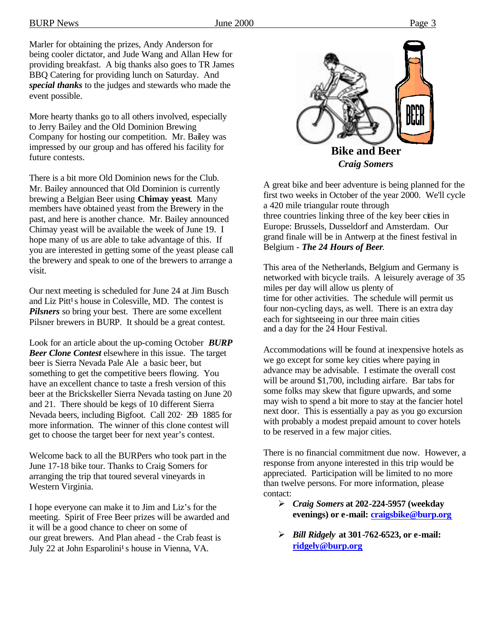Marler for obtaining the prizes, Andy Anderson for being cooler dictator, and Jude Wang and Allan Hew for providing breakfast. A big thanks also goes to TR James BBQ Catering for providing lunch on Saturday. And *special thanks* to the judges and stewards who made the event possible.

More hearty thanks go to all others involved, especially to Jerry Bailey and the Old Dominion Brewing Company for hosting our competition. Mr. Bailey was impressed by our group and has offered his facility for future contests.

There is a bit more Old Dominion news for the Club. Mr. Bailey announced that Old Dominion is currently brewing a Belgian Beer using **Chimay yeast**. Many members have obtained yeast from the Brewery in the past, and here is another chance. Mr. Bailey announced Chimay yeast will be available the week of June 19. I hope many of us are able to take advantage of this. If you are interested in getting some of the yeast please call the brewery and speak to one of the brewers to arrange a visit.

Our next meeting is scheduled for June 24 at Jim Busch and Liz Pitt<sup>1</sup>s house in Colesville, MD. The contest is *Pilsners* so bring your best. There are some excellent Pilsner brewers in BURP. It should be a great contest.

Look for an article about the up-coming October *BURP Beer Clone Contest* elsewhere in this issue. The target beer is Sierra Nevada Pale Ale a basic beer, but something to get the competitive beers flowing. You have an excellent chance to taste a fresh version of this beer at the Brickskeller Sierra Nevada tasting on June 20 and 21. There should be kegs of 10 different Sierra Nevada beers, including Bigfoot. Call 202· 293· 1885 for more information. The winner of this clone contest will get to choose the target beer for next year's contest.

Welcome back to all the BURPers who took part in the June 17-18 bike tour. Thanks to Craig Somers for arranging the trip that toured several vineyards in Western Virginia.

I hope everyone can make it to Jim and Liz's for the meeting. Spirit of Free Beer prizes will be awarded and it will be a good chance to cheer on some of our great brewers. And Plan ahead - the Crab feast is July 22 at John Esparolini<sup>1</sup>s house in Vienna, VA.



This area of the Netherlands, Belgium and Germany is networked with bicycle trails. A leisurely average of 35 miles per day will allow us plenty of time for other activities. The schedule will permit us four non-cycling days, as well. There is an extra day each for sightseeing in our three main cities and a day for the 24 Hour Festival.

Accommodations will be found at inexpensive hotels as we go except for some key cities where paying in advance may be advisable. I estimate the overall cost will be around \$1,700, including airfare. Bar tabs for some folks may skew that figure upwards, and some may wish to spend a bit more to stay at the fancier hotel next door. This is essentially a pay as you go excursion with probably a modest prepaid amount to cover hotels to be reserved in a few major cities.

There is no financial commitment due now. However, a response from anyone interested in this trip would be appreciated. Participation will be limited to no more than twelve persons. For more information, please contact:

- ÿ *Craig Somers* **at 202-224-5957 (weekday evenings) or e-mail: craigsbike@burp.org**
- ÿ *Bill Ridgely* **at 301-762-6523, or e-mail: ridgely@burp.org**

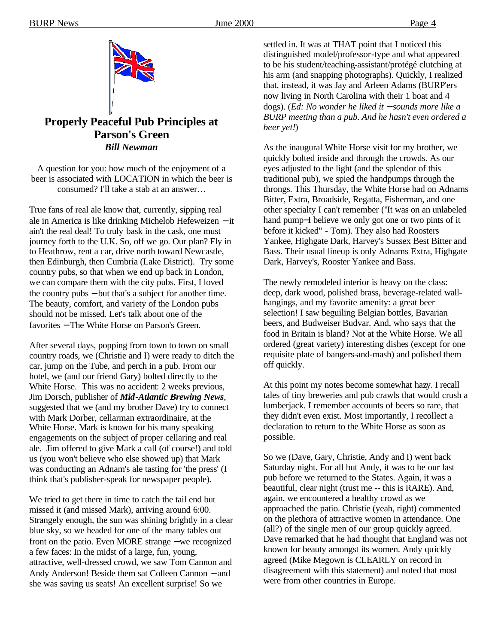

#### **Properly Peaceful Pub Principles at Parson's Green**  *Bill Newman*

A question for you: how much of the enjoyment of a beer is associated with LOCATION in which the beer is consumed? I'll take a stab at an answer…

True fans of real ale know that, currently, sipping real ale in America is like drinking Michelob Hefeweizen − it ain't the real deal! To truly bask in the cask, one must journey forth to the U.K. So, off we go. Our plan? Fly in to Heathrow, rent a car, drive north toward Newcastle, then Edinburgh, then Cumbria (Lake District). Try some country pubs, so that when we end up back in London, we can compare them with the city pubs. First, I loved the country pubs − but that's a subject for another time. The beauty, comfort, and variety of the London pubs should not be missed. Let's talk about one of the favorites − The White Horse on Parson's Green.

After several days, popping from town to town on small country roads, we (Christie and I) were ready to ditch the car, jump on the Tube, and perch in a pub. From our hotel, we (and our friend Gary) bolted directly to the White Horse. This was no accident: 2 weeks previous, Jim Dorsch, publisher of *Mid-Atlantic Brewing News*, suggested that we (and my brother Dave) try to connect with Mark Dorber, cellarman extraordinaire, at the White Horse. Mark is known for his many speaking engagements on the subject of proper cellaring and real ale. Jim offered to give Mark a call (of course!) and told us (you won't believe who else showed up) that Mark was conducting an Adnam's ale tasting for 'the press' (I think that's publisher-speak for newspaper people).

We tried to get there in time to catch the tail end but missed it (and missed Mark), arriving around 6:00. Strangely enough, the sun was shining brightly in a clear blue sky, so we headed for one of the many tables out front on the patio. Even MORE strange − we recognized a few faces: In the midst of a large, fun, young, attractive, well-dressed crowd, we saw Tom Cannon and Andy Anderson! Beside them sat Colleen Cannon − and she was saving us seats! An excellent surprise! So we

settled in. It was at THAT point that I noticed this distinguished model/professor-type and what appeared to be his student/teaching-assistant/protégé clutching at his arm (and snapping photographs). Quickly, I realized that, instead, it was Jay and Arleen Adams (BURP'ers now living in North Carolina with their 1 boat and 4 dogs). (*Ed: No wonder he liked it - sounds more like a BURP meeting than a pub. And he hasn't even ordered a beer yet!*)

As the inaugural White Horse visit for my brother, we quickly bolted inside and through the crowds. As our eyes adjusted to the light (and the splendor of this traditional pub), we spied the handpumps through the throngs. This Thursday, the White Horse had on Adnams Bitter, Extra, Broadside, Regatta, Fisherman, and one other specialty I can't remember ("It was on an unlabeled hand pump−I believe we only got one or two pints of it before it kicked" - Tom). They also had Roosters Yankee, Highgate Dark, Harvey's Sussex Best Bitter and Bass. Their usual lineup is only Adnams Extra, Highgate Dark, Harvey's, Rooster Yankee and Bass.

The newly remodeled interior is heavy on the class: deep, dark wood, polished brass, beverage-related wallhangings, and my favorite amenity: a great beer selection! I saw beguiling Belgian bottles, Bavarian beers, and Budweiser Budvar. And, who says that the food in Britain is bland? Not at the White Horse. We all ordered (great variety) interesting dishes (except for one requisite plate of bangers-and-mash) and polished them off quickly.

At this point my notes become somewhat hazy. I recall tales of tiny breweries and pub crawls that would crush a lumberjack. I remember accounts of beers so rare, that they didn't even exist. Most importantly, I recollect a declaration to return to the White Horse as soon as possible.

So we (Dave, Gary, Christie, Andy and I) went back Saturday night. For all but Andy, it was to be our last pub before we returned to the States. Again, it was a beautiful, clear night (trust me -- this is RARE). And, again, we encountered a healthy crowd as we approached the patio. Christie (yeah, right) commented on the plethora of attractive women in attendance. One (all?) of the single men of our group quickly agreed. Dave remarked that he had thought that England was not known for beauty amongst its women. Andy quickly agreed (Mike Megown is CLEARLY on record in disagreement with this statement) and noted that most were from other countries in Europe.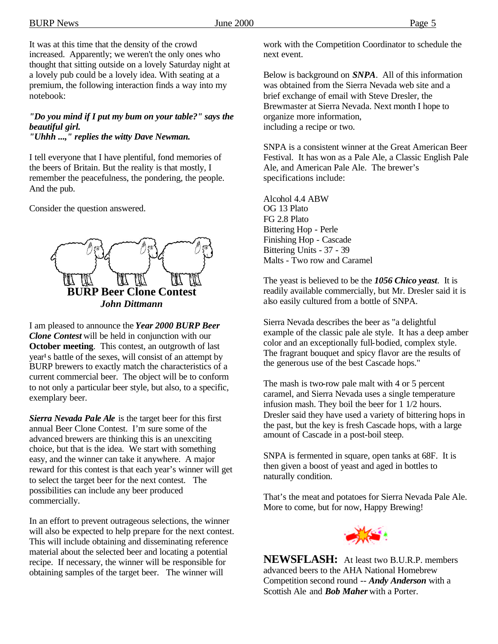It was at this time that the density of the crowd increased. Apparently; we weren't the only ones who thought that sitting outside on a lovely Saturday night at a lovely pub could be a lovely idea. With seating at a premium, the following interaction finds a way into my notebook:

*"Do you mind if I put my bum on your table?" says the beautiful girl.*

*"Uhhh ...," replies the witty Dave Newman.*

I tell everyone that I have plentiful, fond memories of the beers of Britain. But the reality is that mostly, I remember the peacefulness, the pondering, the people. And the pub.

Consider the question answered.



I am pleased to announce the *Year 2000 BURP Beer Clone Contest* will be held in conjunction with our **October meeting.** This contest, an outgrowth of last year<sup>1</sup> s battle of the sexes, will consist of an attempt by BURP brewers to exactly match the characteristics of a current commercial beer. The object will be to conform to not only a particular beer style, but also, to a specific, exemplary beer.

*Sierra Nevada Pale Ale* is the target beer for this first annual Beer Clone Contest. I'm sure some of the advanced brewers are thinking this is an unexciting choice, but that is the idea. We start with something easy, and the winner can take it anywhere. A major reward for this contest is that each year's winner will get to select the target beer for the next contest. The possibilities can include any beer produced commercially.

In an effort to prevent outrageous selections, the winner will also be expected to help prepare for the next contest. This will include obtaining and disseminating reference material about the selected beer and locating a potential recipe. If necessary, the winner will be responsible for obtaining samples of the target beer. The winner will

work with the Competition Coordinator to schedule the next event.

Below is background on *SNPA*. All of this information was obtained from the Sierra Nevada web site and a brief exchange of email with Steve Dresler, the Brewmaster at Sierra Nevada. Next month I hope to organize more information, including a recipe or two.

SNPA is a consistent winner at the Great American Beer Festival. It has won as a Pale Ale, a Classic English Pale Ale, and American Pale Ale. The brewer's specifications include:

Alcohol 4.4 ABW OG 13 Plato FG 2.8 Plato Bittering Hop - Perle Finishing Hop - Cascade Bittering Units - 37 - 39 Malts - Two row and Caramel

The yeast is believed to be the *1056 Chico yeast*. It is readily available commercially, but Mr. Dresler said it is also easily cultured from a bottle of SNPA.

Sierra Nevada describes the beer as "a delightful example of the classic pale ale style. It has a deep amber color and an exceptionally full-bodied, complex style. The fragrant bouquet and spicy flavor are the results of the generous use of the best Cascade hops."

The mash is two-row pale malt with 4 or 5 percent caramel, and Sierra Nevada uses a single temperature infusion mash. They boil the beer for 1 1/2 hours. Dresler said they have used a variety of bittering hops in the past, but the key is fresh Cascade hops, with a large amount of Cascade in a post-boil steep.

SNPA is fermented in square, open tanks at 68F. It is then given a boost of yeast and aged in bottles to naturally condition.

That's the meat and potatoes for Sierra Nevada Pale Ale. More to come, but for now, Happy Brewing!



**NEWSFLASH:** At least two B.U.R.P. members advanced beers to the AHA National Homebrew Competition second round -- *Andy Anderson* with a Scottish Ale and *Bob Maher* with a Porter.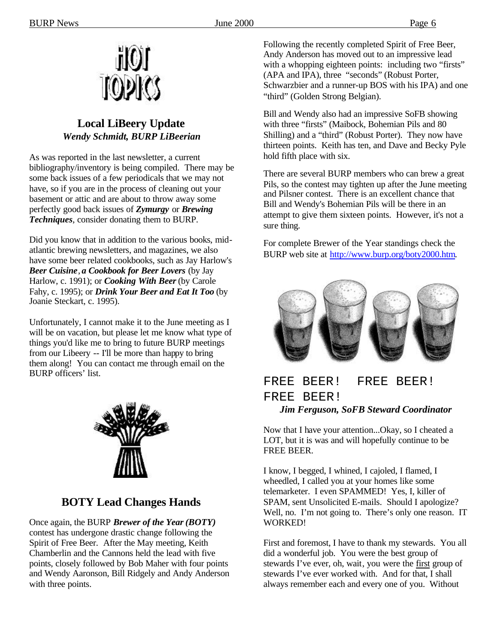

#### **Local LiBeery Update** *Wendy Schmidt, BURP LiBeerian*

As was reported in the last newsletter, a current bibliography/inventory is being compiled. There may be some back issues of a few periodicals that we may not have, so if you are in the process of cleaning out your basement or attic and are about to throw away some perfectly good back issues of *Zymurgy* or *Brewing Techniques*, consider donating them to BURP.

Did you know that in addition to the various books, midatlantic brewing newsletters, and magazines, we also have some beer related cookbooks, such as Jay Harlow's *Beer Cuisine*, *a Cookbook for Beer Lovers* (by Jay Harlow, c. 1991); or *Cooking With Beer* (by Carole Fahy, c. 1995); or *Drink Your Beer and Eat It Too* (by Joanie Steckart, c. 1995).

Unfortunately, I cannot make it to the June meeting as I will be on vacation, but please let me know what type of things you'd like me to bring to future BURP meetings from our Libeery -- I'll be more than happy to bring them along! You can contact me through email on the BURP officers' list.



# **BOTY Lead Changes Hands**

Once again, the BURP *Brewer of the Year(BOTY)* contest has undergone drastic change following the Spirit of Free Beer. After the May meeting, Keith Chamberlin and the Cannons held the lead with five points, closely followed by Bob Maher with four points and Wendy Aaronson, Bill Ridgely and Andy Anderson with three points.

Following the recently completed Spirit of Free Beer, Andy Anderson has moved out to an impressive lead with a whopping eighteen points: including two "firsts" (APA and IPA), three "seconds" (Robust Porter, Schwarzbier and a runner-up BOS with his IPA) and one "third" (Golden Strong Belgian).

Bill and Wendy also had an impressive SoFB showing with three "firsts" (Maibock, Bohemian Pils and 80 Shilling) and a "third" (Robust Porter). They now have thirteen points. Keith has ten, and Dave and Becky Pyle hold fifth place with six.

There are several BURP members who can brew a great Pils, so the contest may tighten up after the June meeting and Pilsner contest. There is an excellent chance that Bill and Wendy's Bohemian Pils will be there in an attempt to give them sixteen points. However, it's not a sure thing.

For complete Brewer of the Year standings check the BURP web site at http://www.burp.org/boty2000.htm.



## FREE BEER! FREE BEER! FREE BEER! *Jim Ferguson, SoFB Steward Coordinator*

Now that I have your attention...Okay, so I cheated a LOT, but it is was and will hopefully continue to be FREE BEER.

I know, I begged, I whined, I cajoled, I flamed, I wheedled, I called you at your homes like some telemarketer. I even SPAMMED! Yes, I, killer of SPAM, sent Unsolicited E-mails. Should I apologize? Well, no. I'm not going to. There's only one reason. IT WORKED!

First and foremost, I have to thank my stewards. You all did a wonderful job. You were the best group of stewards I've ever, oh, wait, you were the first group of stewards I've ever worked with. And for that, I shall always remember each and every one of you. Without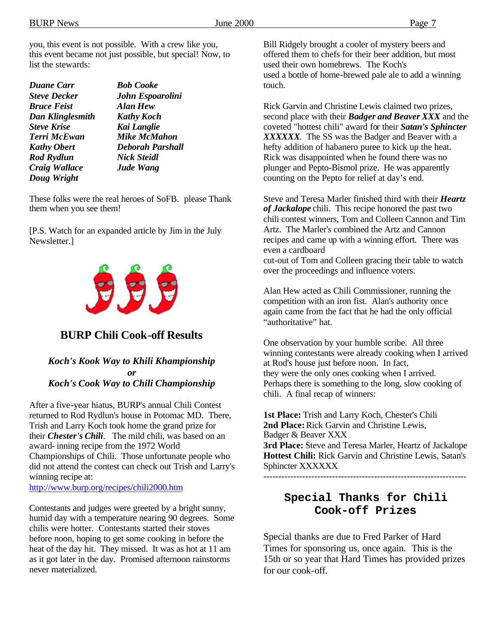you, this event is not possible. With a crew like you, this event became not just possible, but special! Now, to list the stewards:

| <b>Duane Carr</b>   | <b>Bob Cooke</b>        |
|---------------------|-------------------------|
| <b>Steve Decker</b> | John Espoarolini        |
| <b>Bruce Feist</b>  | <b>Alan Hew</b>         |
| Dan Klinglesmith    | <b>Kathy Koch</b>       |
| <b>Steve Krise</b>  | Kai Langlie             |
| <b>Terri McEwan</b> | <b>Mike McMahon</b>     |
| <b>Kathy Obert</b>  | <b>Deborah Parshall</b> |
| <b>Rod Rydlun</b>   | <b>Nick Steidl</b>      |
| Craig Wallace       | <b>Jude Wang</b>        |
| Doug Wright         |                         |

These folks were the real heroes of SoFB. please Thank them when you see them!

[P.S. Watch for an expanded article by Jim in the July Newsletter.]



#### **BURP Chili Cook-off Results**

#### *Koch's Kook Way to Khili Khampionship or Koch's Cook Way to Chili Championship*

After a five-year hiatus, BURP's annual Chili Contest returned to Rod Rydlun's house in Potomac MD. There, Trish and Larry Koch took home the grand prize for their *Chester's Chili*. The mild chili, was based on an award- inning recipe from the 1972 World Championships of Chili. Those unfortunate people who did not attend the contest can check out Trish and Larry's winning recipe at:

http://www.burp.org/recipes/chili2000.htm

Contestants and judges were greeted by a bright sunny, humid day with a temperature nearing 90 degrees. Some chilis were hotter. Contestants started their stoves before noon, hoping to get some cooking in before the heat of the day hit. They missed. It was as hot at 11 am as it got later in the day. Promised afternoon rainstorms never materialized.

Bill Ridgely brought a cooler of mystery beers and offered them to chefs for their beer addition, but most used their own homebrews. The Koch's used a bottle of home-brewed pale ale to add a winning touch.

Rick Garvin and Christine Lewis claimed two prizes, second place with their *Badger and Beaver XXX* and the coveted "hottest chili" award for their *Satan's Sphincter XXXXXX*. The SS was the Badger and Beaver with a hefty addition of habanero puree to kick up the heat. Rick was disappointed when he found there was no plunger and Pepto-Bismol prize. He was apparently counting on the Pepto for relief at day's end.

Steve and Teresa Marler finished third with their *Heartz of Jackalope* chili. This recipe honored the past two chili contest winners, Tom and Colleen Cannon and Tim Artz. The Marler's combined the Artz and Cannon recipes and came up with a winning effort. There was even a cardboard cut-out of Tom and Colleen gracing their table to watch

over the proceedings and influence voters.

Alan Hew acted as Chili Commissioner, running the competition with an iron fist. Alan's authority once again came from the fact that he had the only official "authoritative" hat.

One observation by your humble scribe. All three winning contestants were already cooking when I arrived at Rod's house just before noon. In fact, they were the only ones cooking when I arrived. Perhaps there is something to the long, slow cooking of chili. A final recap of winners:

**1st Place:** Trish and Larry Koch, Chester's Chili **2nd Place:** Rick Garvin and Christine Lewis, Badger & Beaver XXX **3rd Place:** Steve and Teresa Marler, Heartz of Jackalope **Hottest Chili:** Rick Garvin and Christine Lewis, Satan's Sphincter XXXXXX

--------------------------------------------------------------------

#### **Special Thanks for Chili Cook-off Prizes**

Special thanks are due to Fred Parker of Hard Times for sponsoring us, once again. This is the 15th or so year that Hard Times has provided prizes for our cook-off.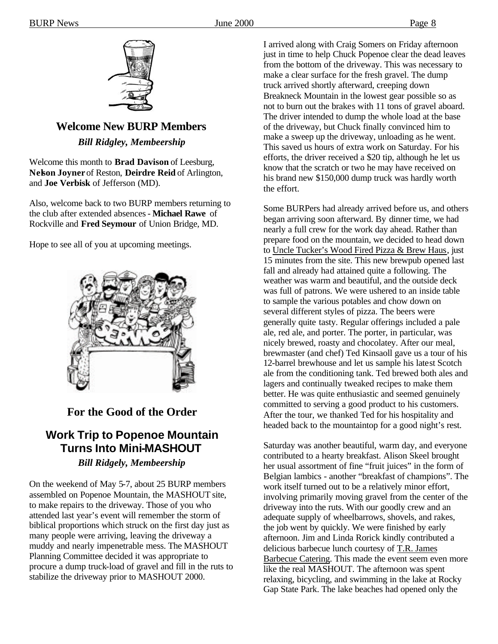

## **Welcome New BURP Members** *Bill Ridgley, Membeership*

Welcome this month to **Brad Davison** of Leesburg, **Nelson Joyner** of Reston, **Deirdre Reid** of Arlington, and **Joe Verbisk** of Jefferson (MD).

Also, welcome back to two BURP members returning to the club after extended absences - **Michael Rawe** of Rockville and **Fred Seymour** of Union Bridge, MD.

Hope to see all of you at upcoming meetings.



### **For the Good of the Order**

## **Work Trip to Popenoe Mountain Turns Into Mini-MASHOUT** *Bill Ridgely, Membeership*

On the weekend of May 5-7, about 25 BURP members assembled on Popenoe Mountain, the MASHOUT site, to make repairs to the driveway. Those of you who attended last year's event will remember the storm of biblical proportions which struck on the first day just as many people were arriving, leaving the driveway a muddy and nearly impenetrable mess. The MASHOUT Planning Committee decided it was appropriate to procure a dump truck-load of gravel and fill in the ruts to stabilize the driveway prior to MASHOUT 2000.

I arrived along with Craig Somers on Friday afternoon just in time to help Chuck Popenoe clear the dead leaves from the bottom of the driveway. This was necessary to make a clear surface for the fresh gravel. The dump truck arrived shortly afterward, creeping down Breakneck Mountain in the lowest gear possible so as not to burn out the brakes with 11 tons of gravel aboard. The driver intended to dump the whole load at the base of the driveway, but Chuck finally convinced him to make a sweep up the driveway, unloading as he went. This saved us hours of extra work on Saturday. For his efforts, the driver received a \$20 tip, although he let us know that the scratch or two he may have received on his brand new \$150,000 dump truck was hardly worth the effort.

Some BURPers had already arrived before us, and others began arriving soon afterward. By dinner time, we had nearly a full crew for the work day ahead. Rather than prepare food on the mountain, we decided to head down to Uncle Tucker's Wood Fired Pizza & Brew Haus, just 15 minutes from the site. This new brewpub opened last fall and already had attained quite a following. The weather was warm and beautiful, and the outside deck was full of patrons. We were ushered to an inside table to sample the various potables and chow down on several different styles of pizza. The beers were generally quite tasty. Regular offerings included a pale ale, red ale, and porter. The porter, in particular, was nicely brewed, roasty and chocolatey. After our meal, brewmaster (and chef) Ted Kinsaoll gave us a tour of his 12-barrel brewhouse and let us sample his latest Scotch ale from the conditioning tank. Ted brewed both ales and lagers and continually tweaked recipes to make them better. He was quite enthusiastic and seemed genuinely committed to serving a good product to his customers. After the tour, we thanked Ted for his hospitality and headed back to the mountaintop for a good night's rest.

Saturday was another beautiful, warm day, and everyone contributed to a hearty breakfast. Alison Skeel brought her usual assortment of fine "fruit juices" in the form of Belgian lambics - another "breakfast of champions". The work itself turned out to be a relatively minor effort, involving primarily moving gravel from the center of the driveway into the ruts. With our goodly crew and an adequate supply of wheelbarrows, shovels, and rakes, the job went by quickly. We were finished by early afternoon. Jim and Linda Rorick kindly contributed a delicious barbecue lunch courtesy of T.R. James Barbecue Catering. This made the event seem even more like the real MASHOUT. The afternoon was spent relaxing, bicycling, and swimming in the lake at Rocky Gap State Park. The lake beaches had opened only the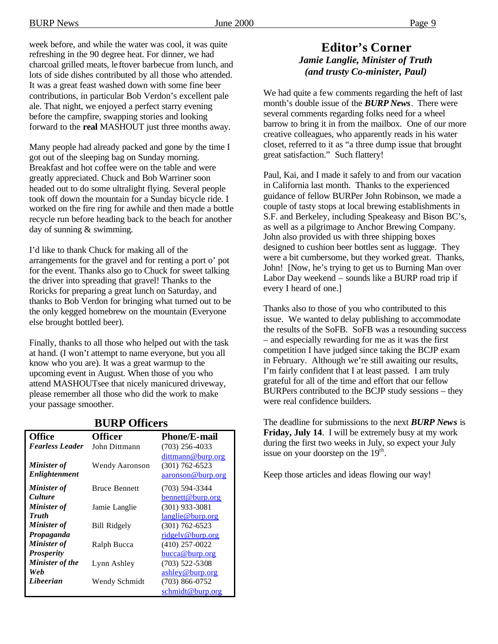week before, and while the water was cool, it was quite refreshing in the 90 degree heat. For dinner, we had charcoal grilled meats, le ftover barbecue from lunch, and lots of side dishes contributed by all those who attended. It was a great feast washed down with some fine beer contributions, in particular Bob Verdon's excellent pale ale. That night, we enjoyed a perfect starry evening before the campfire, swapping stories and looking forward to the **real** MASHOUT just three months away.

Many people had already packed and gone by the time I got out of the sleeping bag on Sunday morning. Breakfast and hot coffee were on the table and were greatly appreciated. Chuck and Bob Warriner soon headed out to do some ultralight flying. Several people took off down the mountain for a Sunday bicycle ride. I worked on the fire ring for awhile and then made a bottle recycle run before heading back to the beach for another day of sunning & swimming.

I'd like to thank Chuck for making all of the arrangements for the gravel and for renting a port o' pot for the event. Thanks also go to Chuck for sweet talking the driver into spreading that gravel! Thanks to the Roricks for preparing a great lunch on Saturday, and thanks to Bob Verdon for bringing what turned out to be the only kegged homebrew on the mountain (Everyone else brought bottled beer).

Finally, thanks to all those who helped out with the task at hand. (I won't attempt to name everyone, but you all know who you are). It was a great warmup to the upcoming event in August. When those of you who attend MASHOUTsee that nicely manicured driveway, please remember all those who did the work to make your passage smoother.

| <b>Office</b>          | <b>Officer</b>        | <b>Phone/E-mail</b> |
|------------------------|-----------------------|---------------------|
| <b>Fearless Leader</b> | John Dittmann         | $(703)$ 256-4033    |
|                        |                       | dittmann@burp.org   |
| <b>Minister of</b>     | <b>Wendy Aaronson</b> | $(301)$ 762-6523    |
| <b>Enlightenment</b>   |                       | aaronson@burp.org   |
| <b>Minister of</b>     | <b>Bruce Bennett</b>  | $(703)$ 594-3344    |
| <i>Culture</i>         |                       | bennett@burp.org    |
| <b>Minister of</b>     | Jamie Langlie         | $(301)$ 933-3081    |
| <b>Truth</b>           |                       | langlie@burp.org    |
| Minister of            | <b>Bill Ridgely</b>   | $(301)$ 762-6523    |
| Propaganda             |                       | ridgely@burp.org    |
| Minister of            | Ralph Bucca           | $(410)$ 257-0022    |
| <b>Prosperity</b>      |                       | bucca@burp.org      |
| <b>Minister of the</b> | Lynn Ashley           | $(703)$ 522-5308    |
| Web                    |                       | ashley@burp.org     |
| Libeerian              | Wendy Schmidt         | $(703)$ 866-0752    |
|                        |                       | schmidt@burp.org    |

#### **BURP Officers**

#### **Editor's Corner** *Jamie Langlie, Minister of Truth (and trusty Co-minister, Paul)*

We had quite a few comments regarding the heft of last month's double issue of the *BURP News*. There were several comments regarding folks need for a wheel barrow to bring it in from the mailbox. One of our more creative colleagues, who apparently reads in his water closet, referred to it as "a three dump issue that brought great satisfaction." Such flattery!

Paul, Kai, and I made it safely to and from our vacation in California last month. Thanks to the experienced guidance of fellow BURPer John Robinson, we made a couple of tasty stops at local brewing establishments in S.F. and Berkeley, including Speakeasy and Bison BC's, as well as a pilgrimage to Anchor Brewing Company. John also provided us with three shipping boxes designed to cushion beer bottles sent as luggage. They were a bit cumbersome, but they worked great. Thanks, John! [Now, he's trying to get us to Burning Man over Labor Day weekend – sounds like a BURP road trip if every I heard of one.]

Thanks also to those of you who contributed to this issue. We wanted to delay publishing to accommodate the results of the SoFB. SoFB was a resounding success – and especially rewarding for me as it was the first competition I have judged since taking the BCJP exam in February. Although we're still awaiting our results, I'm fairly confident that I at least passed. I am truly grateful for all of the time and effort that our fellow BURPers contributed to the BCJP study sessions – they were real confidence builders.

The deadline for submissions to the next *BURP News* is **Friday, July 14**. I will be extremely busy at my work during the first two weeks in July, so expect your July issue on your doorstep on the  $19<sup>th</sup>$ .

Keep those articles and ideas flowing our way!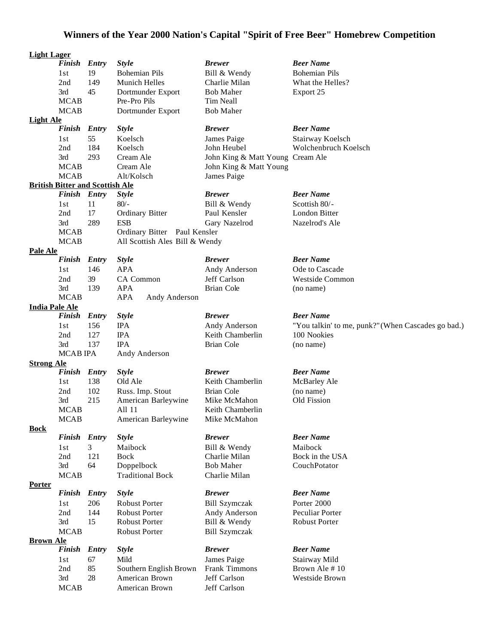# **Winners of the Year 2000 Nation's Capital "Spirit of Free Beer" Homebrew Competition**

| <b>Light Lager</b>    |                                        |              |                                |                                  |                                                    |
|-----------------------|----------------------------------------|--------------|--------------------------------|----------------------------------|----------------------------------------------------|
|                       | Finish Entry                           |              | <b>Style</b>                   | <b>Brewer</b>                    | <b>Beer Name</b>                                   |
|                       | 1st                                    | 19           | <b>Bohemian Pils</b>           | Bill & Wendy                     | <b>Bohemian Pils</b>                               |
|                       | 2nd                                    | 149          | <b>Munich Helles</b>           | Charlie Milan                    | What the Helles?                                   |
|                       | 3rd                                    | 45           | Dortmunder Export              | <b>Bob Maher</b>                 | Export 25                                          |
|                       | <b>MCAB</b>                            |              | Pre-Pro Pils                   | Tim Neall                        |                                                    |
|                       | <b>MCAB</b>                            |              | Dortmunder Export              | <b>Bob Maher</b>                 |                                                    |
| <b>Light Ale</b>      |                                        |              |                                |                                  |                                                    |
|                       | <b>Finish</b>                          | <b>Entry</b> | <b>Style</b>                   | <b>Brewer</b>                    | <b>Beer Name</b>                                   |
|                       | 1st                                    | 55           | Koelsch                        | James Paige                      | Stairway Koelsch                                   |
|                       | 2nd                                    | 184          | Koelsch                        | John Heubel                      | Wolchenbruch Koelsch                               |
|                       | 3rd                                    | 293          | Cream Ale                      | John King & Matt Young Cream Ale |                                                    |
|                       | <b>MCAB</b>                            |              | Cream Ale                      | John King & Matt Young           |                                                    |
|                       | <b>MCAB</b>                            |              | Alt/Kolsch                     | James Paige                      |                                                    |
|                       | <b>British Bitter and Scottish Ale</b> |              |                                |                                  |                                                    |
|                       | <b>Finish</b>                          | Entry        | <b>Style</b>                   | <b>Brewer</b>                    | <b>Beer Name</b>                                   |
|                       | 1st                                    | 11           | $80/-$                         | Bill & Wendy                     | Scottish 80/-                                      |
|                       | 2nd                                    | 17           | <b>Ordinary Bitter</b>         | Paul Kensler                     | London Bitter                                      |
|                       |                                        | 289          |                                |                                  |                                                    |
|                       | 3rd                                    |              | <b>ESB</b>                     | Gary Nazelrod                    | Nazelrod's Ale                                     |
|                       | <b>MCAB</b>                            |              | Ordinary Bitter Paul Kensler   |                                  |                                                    |
|                       | <b>MCAB</b>                            |              | All Scottish Ales Bill & Wendy |                                  |                                                    |
| <b>Pale Ale</b>       |                                        |              |                                |                                  | <b>Beer Name</b>                                   |
|                       | Finish Entry                           |              | <b>Style</b>                   | <b>Brewer</b>                    |                                                    |
|                       | 1st                                    | 146          | <b>APA</b>                     | Andy Anderson                    | Ode to Cascade                                     |
|                       | 2nd                                    | 39           | CA Common                      | Jeff Carlson                     | <b>Westside Common</b>                             |
|                       | 3rd                                    | 139          | <b>APA</b>                     | <b>Brian Cole</b>                | (no name)                                          |
|                       | <b>MCAB</b>                            |              | <b>APA</b><br>Andy Anderson    |                                  |                                                    |
| <b>India Pale Ale</b> |                                        |              |                                |                                  |                                                    |
|                       | <b>Finish</b>                          | <b>Entry</b> | <b>Style</b>                   | <b>Brewer</b>                    | <b>Beer Name</b>                                   |
|                       | 1st                                    | 156          | <b>IPA</b>                     | Andy Anderson                    | "You talkin' to me, punk?" (When Cascades go bad.) |
|                       | 2nd                                    | 127          | <b>IPA</b>                     | Keith Chamberlin                 | 100 Nookies                                        |
|                       | 3rd                                    | 137          | <b>IPA</b>                     | Brian Cole                       | (no name)                                          |
|                       | <b>MCAB IPA</b>                        |              | Andy Anderson                  |                                  |                                                    |
| <b>Strong Ale</b>     |                                        |              |                                |                                  |                                                    |
|                       | Finish Entry                           |              | <b>Style</b>                   | <b>Brewer</b>                    | <b>Beer Name</b>                                   |
|                       | 1st                                    | 138          | Old Ale                        | Keith Chamberlin                 | McBarley Ale                                       |
|                       | 2nd                                    | 102          | Russ. Imp. Stout               | <b>Brian Cole</b>                | (no name)                                          |
|                       | 3rd                                    | 215          | American Barleywine            | Mike McMahon                     | Old Fission                                        |
|                       | <b>MCAB</b>                            |              | All 11                         | Keith Chamberlin                 |                                                    |
|                       | <b>MCAB</b>                            |              | American Barleywine            | Mike McMahon                     |                                                    |
| <b>Bock</b>           |                                        |              |                                |                                  |                                                    |
|                       | <b>Finish</b>                          | <b>Entry</b> | <b>Style</b>                   | <b>Brewer</b>                    | <b>Beer Name</b>                                   |
|                       | 1st                                    | 3            | Maibock                        | Bill & Wendy                     | Maibock                                            |
|                       | 2nd                                    | 121          | <b>Bock</b>                    | Charlie Milan                    | Bock in the USA                                    |
|                       | 3rd                                    | 64           | Doppelbock                     | <b>Bob Maher</b>                 | CouchPotator                                       |
|                       | <b>MCAB</b>                            |              | <b>Traditional Bock</b>        | Charlie Milan                    |                                                    |
| <b>Porter</b>         |                                        |              |                                |                                  |                                                    |
|                       | <b>Finish</b>                          | <b>Entry</b> | <b>Style</b>                   | <b>Brewer</b>                    | <b>Beer Name</b>                                   |
|                       | 1st                                    | 206          | <b>Robust Porter</b>           | <b>Bill Szymczak</b>             | Porter 2000                                        |
|                       | 2nd                                    | 144          | <b>Robust Porter</b>           | Andy Anderson                    | Peculiar Porter                                    |
|                       | 3rd                                    | 15           | <b>Robust Porter</b>           | Bill & Wendy                     | <b>Robust Porter</b>                               |
|                       | <b>MCAB</b>                            |              | <b>Robust Porter</b>           | <b>Bill Szymczak</b>             |                                                    |
| <b>Brown Ale</b>      |                                        |              |                                |                                  |                                                    |
|                       | <b>Finish</b>                          | <b>Entry</b> | <b>Style</b>                   | <b>Brewer</b>                    | <b>Beer Name</b>                                   |
|                       | 1st                                    | 67           | Mild                           | James Paige                      | Stairway Mild                                      |
|                       | 2nd                                    | 85           | Southern English Brown         | Frank Timmons                    | Brown Ale #10                                      |
|                       | 3rd                                    | 28           | American Brown                 | Jeff Carlson                     | Westside Brown                                     |
|                       | <b>MCAB</b>                            |              | American Brown                 | Jeff Carlson                     |                                                    |
|                       |                                        |              |                                |                                  |                                                    |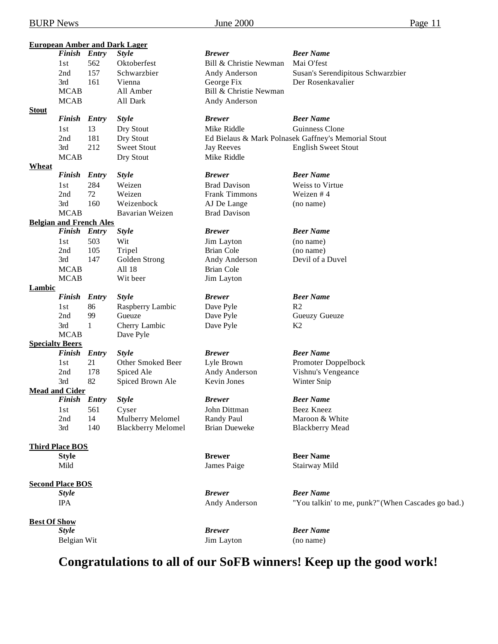|                     | <b>Finish</b>                  | <b>Entry</b> | <b>European Amber and Dark Lager</b><br><b>Style</b> | <b>Brewer</b>          | <b>Beer Name</b>                                    |
|---------------------|--------------------------------|--------------|------------------------------------------------------|------------------------|-----------------------------------------------------|
|                     | 1st                            | 562          | Oktoberfest                                          | Bill & Christie Newman | Mai O'fest                                          |
|                     | 2nd                            | 157          | Schwarzbier                                          | Andy Anderson          | Susan's Serendipitous Schwarzbier                   |
|                     | 3rd                            | 161          | Vienna                                               | George Fix             | Der Rosenkavalier                                   |
|                     | <b>MCAB</b>                    |              | All Amber                                            | Bill & Christie Newman |                                                     |
|                     | <b>MCAB</b>                    |              | All Dark                                             | Andy Anderson          |                                                     |
| <b>Stout</b>        |                                |              |                                                      |                        |                                                     |
|                     | <b>Finish</b>                  | <b>Entry</b> | <b>Style</b>                                         | <b>Brewer</b>          | <b>Beer Name</b>                                    |
|                     | 1st                            | 13           | Dry Stout                                            | Mike Riddle            | Guinness Clone                                      |
|                     | 2nd                            | 181          | Dry Stout                                            |                        | Ed Bielaus & Mark Polnasek Gaffney's Memorial Stout |
|                     | 3rd                            | 212          | <b>Sweet Stout</b>                                   | <b>Jay Reeves</b>      | <b>English Sweet Stout</b>                          |
|                     | <b>MCAB</b>                    |              | Dry Stout                                            | Mike Riddle            |                                                     |
| <b>Wheat</b>        |                                |              |                                                      |                        |                                                     |
|                     | <b>Finish</b>                  | <b>Entry</b> | <b>Style</b>                                         | <b>Brewer</b>          | <b>Beer Name</b>                                    |
|                     | 1st                            | 284          | Weizen                                               | <b>Brad Davison</b>    | Weiss to Virtue                                     |
|                     | 2nd                            | 72           | Weizen                                               | <b>Frank Timmons</b>   | Weizen #4                                           |
|                     | 3rd                            | 160          | Weizenbock                                           | AJ De Lange            | (no name)                                           |
|                     | <b>MCAB</b>                    |              | <b>Bavarian Weizen</b>                               | <b>Brad Davison</b>    |                                                     |
|                     | <b>Belgian and French Ales</b> |              |                                                      |                        |                                                     |
|                     | Finish Entry                   |              | <b>Style</b>                                         | <b>Brewer</b>          | <b>Beer Name</b>                                    |
|                     | 1st                            | 503          | Wit                                                  | Jim Layton             | (no name)                                           |
|                     | 2nd                            | 105          | Tripel                                               | Brian Cole             | (no name)                                           |
|                     | 3rd                            | 147          | Golden Strong                                        | Andy Anderson          | Devil of a Duvel                                    |
|                     | <b>MCAB</b>                    |              | All 18                                               | Brian Cole             |                                                     |
|                     | <b>MCAB</b>                    |              | Wit beer                                             | Jim Layton             |                                                     |
| <b>Lambic</b>       |                                |              |                                                      |                        |                                                     |
|                     | <b>Finish</b>                  | Entry        | <b>Style</b>                                         | <b>Brewer</b>          | <b>Beer Name</b>                                    |
|                     | 1st                            | 86           | Raspberry Lambic                                     | Dave Pyle              | R <sub>2</sub>                                      |
|                     | 2nd                            | 99           | Gueuze                                               | Dave Pyle              | Gueuzy Gueuze                                       |
|                     | 3rd                            | $\mathbf{1}$ | Cherry Lambic                                        | Dave Pyle              | K <sub>2</sub>                                      |
|                     | <b>MCAB</b>                    |              | Dave Pyle                                            |                        |                                                     |
|                     | <b>Specialty Beers</b>         |              |                                                      |                        |                                                     |
|                     | <b>Finish</b>                  | Entry        | <b>Style</b>                                         | <b>Brewer</b>          | <b>Beer Name</b>                                    |
|                     | 1st                            | 21           | Other Smoked Beer                                    | Lyle Brown             | Promoter Doppelbock                                 |
|                     | 2nd                            | 178          | Spiced Ale                                           | Andy Anderson          | Vishnu's Vengeance                                  |
|                     | 3rd                            | 82           | Spiced Brown Ale                                     | Kevin Jones            | Winter Snip                                         |
|                     | <b>Mead and Cider</b>          |              |                                                      |                        |                                                     |
|                     | Finish Entry                   |              | <b>Style</b>                                         | <b>Brewer</b>          | <b>Beer Name</b>                                    |
|                     | 1st                            | 561          | Cyser                                                | John Dittman           | Beez Kneez                                          |
|                     | 2nd                            | 14           | Mulberry Melomel                                     | Randy Paul             | Maroon & White                                      |
|                     | 3rd                            | 140          | <b>Blackberry Melomel</b>                            | <b>Brian Dueweke</b>   | <b>Blackberry Mead</b>                              |
|                     | <b>Third Place BOS</b>         |              |                                                      |                        |                                                     |
|                     | <b>Style</b>                   |              |                                                      | <b>Brewer</b>          | <b>Beer Name</b>                                    |
|                     | Mild                           |              |                                                      | James Paige            | Stairway Mild                                       |
|                     |                                |              |                                                      |                        |                                                     |
|                     | <b>Second Place BOS</b>        |              |                                                      |                        |                                                     |
|                     | <b>Style</b>                   |              |                                                      | <b>Brewer</b>          | <b>Beer Name</b>                                    |
|                     | <b>IPA</b>                     |              |                                                      | Andy Anderson          | "You talkin' to me, punk?" (When Cascades go bad.)  |
|                     |                                |              |                                                      |                        |                                                     |
| <b>Best Of Show</b> | <b>Style</b>                   |              |                                                      | <b>Brewer</b>          | <b>Beer Name</b>                                    |
|                     | Belgian Wit                    |              |                                                      | Jim Layton             | (no name)                                           |
|                     |                                |              |                                                      |                        |                                                     |

# **Congratulations to all of our SoFB winners! Keep up the good work!**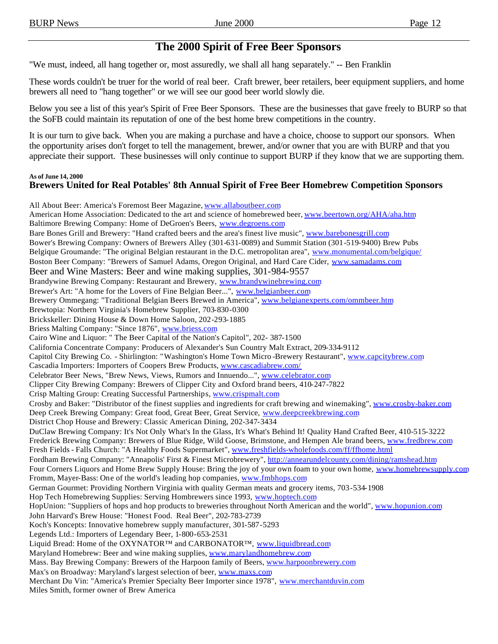## **The 2000 Spirit of Free Beer Sponsors**

"We must, indeed, all hang together or, most assuredly, we shall all hang separately." -- Ben Franklin

These words couldn't be truer for the world of real beer. Craft brewer, beer retailers, beer equipment suppliers, and home brewers all need to "hang together" or we will see our good beer world slowly die.

Below you see a list of this year's Spirit of Free Beer Sponsors. These are the businesses that gave freely to BURP so that the SoFB could maintain its reputation of one of the best home brew competitions in the country.

It is our turn to give back. When you are making a purchase and have a choice, choose to support our sponsors. When the opportunity arises don't forget to tell the management, brewer, and/or owner that you are with BURP and that you appreciate their support. These businesses will only continue to support BURP if they know that we are supporting them.

#### **As of June 14, 2000 Brewers United for Real Potables' 8th Annual Spirit of Free Beer Homebrew Competition Sponsors**

All About Beer: America's Foremost Beer Magazine, www.allaboutbeer.com American Home Association: Dedicated to the art and science of homebrewed beer, www.beertown.org/AHA/aha.htm Baltimore Brewing Company: Home of DeGroen's Beers, www.degroens.com Bare Bones Grill and Brewery: "Hand crafted beers and the area's finest live music", www.barebonesgrill.com Bower's Brewing Company: Owners of Brewers Alley (301-631-0089) and Summit Station (301-519-9400) Brew Pubs Belgique Groumande: "The original Belgian restaurant in the D.C. metropolitan area", www.monumental.com/belgique/ Boston Beer Company: "Brewers of Samuel Adams, Oregon Original, and Hard Care Cider, www.samadams.com Beer and Wine Masters: Beer and wine making supplies, 301-984-9557 Brandywine Brewing Company: Restaurant and Brewery, www.brandywinebrewing.com Brewer's Art: "A home for the Lovers of Fine Belgian Beer...", www.belgianbeer.com Brewery Ommegang: "Traditional Belgian Beers Brewed in America", www.belgianexperts.com/ommbeer.htm Brewtopia: Northern Virginia's Homebrew Supplier, 703-830-0300 Brickskeller: Dining House & Down Home Saloon, 202-293-1885 Briess Malting Company: "Since 1876", www.briess.com Cairo Wine and Liquor: " The Beer Capital of the Nation's Capitol", 202- 387-1500 California Concentrate Company: Producers of Alexander's Sun Country Malt Extract, 209-334-9112 Capitol City Brewing Co. - Shirlington: "Washington's Home Town Micro -Brewery Restaurant", www.capcitybrew.com Cascadia Importers: Importers of Coopers Brew Products, www.cascadiabrew.com/ Celebrator Beer News, "Brew News, Views, Rumors and Innuendo...", www.celebrator.com Clipper City Brewing Company: Brewers of Clipper City and Oxford brand beers, 410-247-7822 Crisp Malting Group: Creating Successful Partnerships, www.crispmalt.com Crosby and Baker: "Distributor of the finest supplies and ingredients for craft brewing and winemaking", www.crosby-baker.com Deep Creek Brewing Company: Great food, Great Beer, Great Service, www.deepcreekbrewing.com District Chop House and Brewery: Classic American Dining, 202-347-3434 DuClaw Brewing Company: It's Not Only What's In the Glass, It's What's Behind It! Quality Hand Crafted Beer, 410-515-3222 Frederick Brewing Company: Brewers of Blue Ridge, Wild Goose, Brimstone, and Hempen Ale brand beers, www.fredbrew.com Fresh Fields - Falls Church: "A Healthy Foods Supermarket", www.freshfields-wholefoods.com/ff/ffhome.html Fordham Brewing Company: "Annapolis' First & Finest Microbrewery", http://annearundelcounty.com/dining/ramshead.htm Four Corners Liquors and Home Brew Supply House: Bring the joy of your own foam to your own home, www.homebrewsupply.com Fromm, Mayer-Bass: One of the world's leading hop companies, www.fmbhops.com German Gourmet: Providing Northern Virginia with quality German meats and grocery items, 703-534-1908 Hop Tech Homebrewing Supplies: Serving Hombrewers since 1993, www.hoptech.com HopUnion: "Suppliers of hops and hop products to breweries throughout North American and the world", www.hopunion.com John Harvard's Brew House: "Honest Food. Real Beer", 202-783-2739 Koch's Koncepts: Innovative homebrew supply manufacturer, 301-587-5293 Legends Ltd.: Importers of Legendary Beer, 1-800-653-2531 Liquid Bread: Home of the OXYNATOR™ and CARBONATOR™, www.liquidbread.com Maryland Homebrew: Beer and wine making supplies, www.marylandhomebrew.com Mass. Bay Brewing Company: Brewers of the Harpoon family of Beers, www.harpoonbrewery.com Max's on Broadway: Maryland's largest selection of beer, www.maxs.com Merchant Du Vin: "America's Premier Specialty Beer Importer since 1978", www.merchantduvin.com Miles Smith, former owner of Brew America